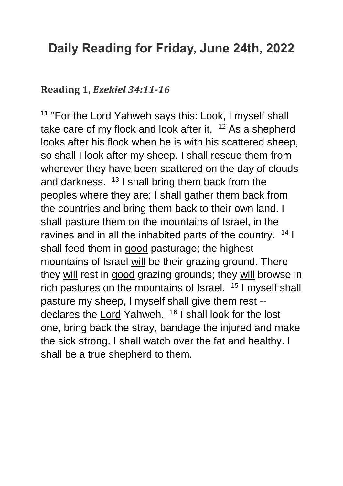## **Daily Reading for Friday, June 24th, 2022**

## **Reading 1,** *Ezekiel 34:11-16*

<sup>11</sup> "For the [Lord](https://www.catholic.org/encyclopedia/view.php?id=5217) [Yahweh](https://www.catholic.org/encyclopedia/view.php?id=6291) says this: Look, I myself shall take care of my flock and look after it.  $12$  As a shepherd looks after his flock when he is with his scattered sheep, so shall I look after my sheep. I shall rescue them from wherever they have been scattered on the day of clouds and darkness.  $13$  I shall bring them back from the peoples where they are; I shall gather them back from the countries and bring them back to their own land. I shall pasture them on the mountains of Israel, in the ravines and in all the inhabited parts of the country.  $14$  I shall feed them in [good](https://www.catholic.org/encyclopedia/view.php?id=5257) pasturage; the highest mountains of Israel [will](https://www.catholic.org/encyclopedia/view.php?id=12332) be their grazing ground. There they [will](https://www.catholic.org/encyclopedia/view.php?id=12332) rest in [good](https://www.catholic.org/encyclopedia/view.php?id=5257) grazing grounds; they will browse in rich pastures on the mountains of Israel. <sup>15</sup> I myself shall pasture my sheep, I myself shall give them rest -- declares the [Lord](https://www.catholic.org/encyclopedia/view.php?id=5217) Yahweh. <sup>16</sup> I shall look for the lost one, bring back the stray, bandage the injured and make the sick strong. I shall watch over the fat and healthy. I shall be a true shepherd to them.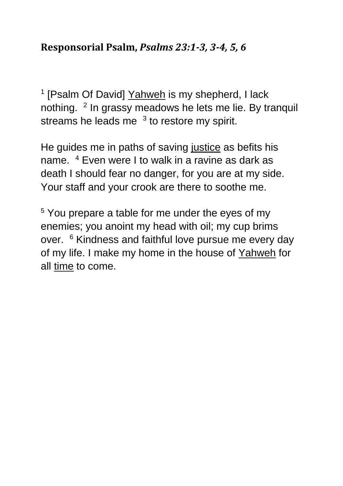## **Responsorial Psalm,** *Psalms 23:1-3, 3-4, 5, 6*

<sup>1</sup> [Psalm Of David] [Yahweh](https://www.catholic.org/encyclopedia/view.php?id=6291) is my shepherd, I lack nothing. <sup>2</sup> In grassy meadows he lets me lie. By tranquil streams he leads me  $3$  to restore my spirit.

He guides me in paths of saving [justice](https://www.catholic.org/encyclopedia/view.php?id=6550) as befits his name. <sup>4</sup> Even were I to walk in a ravine as dark as death I should fear no danger, for you are at my side. Your staff and your crook are there to soothe me.

<sup>5</sup> You prepare a table for me under the eyes of my enemies; you anoint my head with oil; my cup brims over. <sup>6</sup> Kindness and faithful love pursue me every day of my life. I make my home in the house of [Yahweh](https://www.catholic.org/encyclopedia/view.php?id=6291) for all [time](https://www.catholic.org/encyclopedia/view.php?id=11571) to come.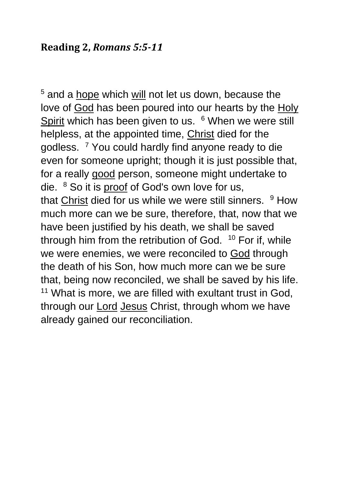<sup>5</sup> and a [hope](https://www.catholic.org/encyclopedia/view.php?id=5889) which [will](https://www.catholic.org/encyclopedia/view.php?id=12332) not let us down, because the love of [God](https://www.catholic.org/encyclopedia/view.php?id=5217) has been poured into our hearts by the Holy [Spirit](https://www.catholic.org/encyclopedia/view.php?id=5854) which has been given to us. <sup>6</sup> When we were still helpless, at the appointed time, [Christ](https://www.catholic.org/clife/jesus) died for the godless. <sup>7</sup> You could hardly find anyone ready to die even for someone upright; though it is just possible that, for a really [good](https://www.catholic.org/encyclopedia/view.php?id=5257) person, someone might undertake to die. <sup>8</sup> So it is [proof](https://www.catholic.org/encyclopedia/view.php?id=9667) of God's own love for us, that [Christ](https://www.catholic.org/clife/jesus) died for us while we were still sinners. <sup>9</sup> How much more can we be sure, therefore, that, now that we have been justified by his death, we shall be saved through him from the retribution of God. <sup>10</sup> For if, while we were enemies, we were reconciled to [God](https://www.catholic.org/encyclopedia/view.php?id=5217) through the death of his Son, how much more can we be sure that, being now reconciled, we shall be saved by his life. <sup>11</sup> What is more, we are filled with exultant trust in God, through our [Lord](https://www.catholic.org/encyclopedia/view.php?id=5217) [Jesus](https://www.catholic.org/clife/jesus) Christ, through whom we have already gained our reconciliation.